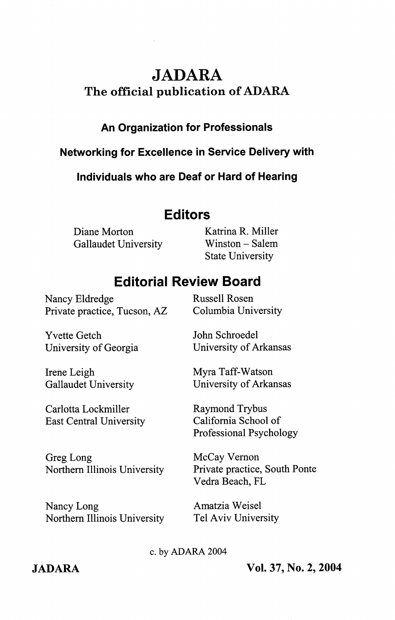# JADARA

## The official publication of ADARA

## An Organization for Professionais

### Networking for Exceilence in Service Deiivery with

Individuals who are Deaf or Hard of Hearing

## Editors

Diane Morton Katrina R. Miller Gallaudet University Winston - Salem

State University

# Editorial Review Board

Nancy Eldredge Russell Rosen Private practice, Tucson, AZ Columbia University

Yvette Getch University of Georgia

University of Arkansas Myra Taff-Watson

John Schroedel

Irene Leigh Gallaudet University

Carlotta Lockmiller East Central University

Greg Long Northern Illinois University

Nancy Long Northern Illinois University Raymond Trybus California School of

University of Arkansas

Professional Psychology McCay Vemon

Private practice. South Ponte Vedra Beach, PL

Amatzia Weisel Tel Aviv University

c. by ADARA 2004

JADARA Vol. 37, No. 2, 2004